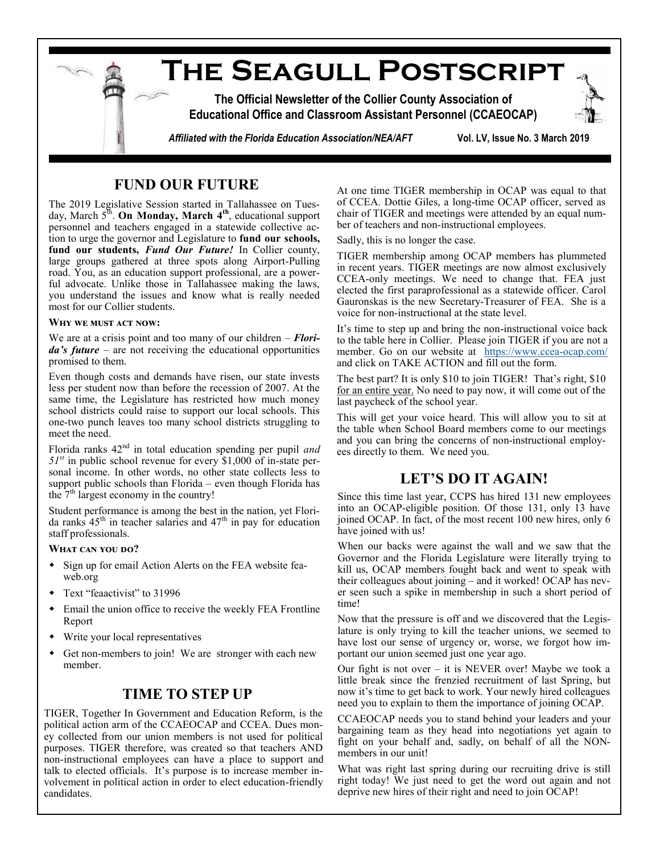

## **FUND OUR FUTURE**

The 2019 Legislative Session started in Tallahassee on Tuesday, March 5<sup>th</sup>. On Monday, March 4<sup>th</sup>, educational support personnel and teachers engaged in a statewide collective action to urge the governor and Legislature to **fund our schools, fund our students,** *Fund Our Future!* In Collier county, large groups gathered at three spots along Airport-Pulling road. You, as an education support professional, are a powerful advocate. Unlike those in Tallahassee making the laws, you understand the issues and know what is really needed most for our Collier students.

#### **Why we must act now:**

We are at a crisis point and too many of our children – *Florida's future* – are not receiving the educational opportunities promised to them.

Even though costs and demands have risen, our state invests less per student now than before the recession of 2007. At the same time, the Legislature has restricted how much money school districts could raise to support our local schools. This one-two punch leaves too many school districts struggling to meet the need.

Florida ranks 42nd in total education spending per pupil *and 51st* in public school revenue for every \$1,000 of in-state personal income. In other words, no other state collects less to support public schools than Florida – even though Florida has the  $7<sup>th</sup>$  largest economy in the country!

Student performance is among the best in the nation, yet Florida ranks  $45<sup>th</sup>$  in teacher salaries and  $47<sup>th</sup>$  in pay for education staff professionals.

#### WHAT CAN YOU DO?

- Sign up for email Action Alerts on the FEA website feaweb.org
- Text "feaactivist" to 31996
- Email the union office to receive the weekly FEA Frontline Report
- Write your local representatives
- Get non-members to join! We are stronger with each new member.

### **TIME TO STEP UP**

TIGER, Together In Government and Education Reform, is the political action arm of the CCAEOCAP and CCEA. Dues money collected from our union members is not used for political purposes. TIGER therefore, was created so that teachers AND non-instructional employees can have a place to support and talk to elected officials. It's purpose is to increase member involvement in political action in order to elect education-friendly candidates.

At one time TIGER membership in OCAP was equal to that of CCEA. Dottie Giles, a long-time OCAP officer, served as chair of TIGER and meetings were attended by an equal number of teachers and non-instructional employees.

Sadly, this is no longer the case.

TIGER membership among OCAP members has plummeted in recent years. TIGER meetings are now almost exclusively CCEA-only meetings. We need to change that. FEA just elected the first paraprofessional as a statewide officer. Carol Gauronskas is the new Secretary-Treasurer of FEA. She is a voice for non-instructional at the state level.

It's time to step up and bring the non-instructional voice back to the table here in Collier. Please join TIGER if you are not a member. Go on our website at [https://www.ccea](https://www.ccea-ocap.com/)-ocap.com/ and click on TAKE ACTION and fill out the form.

The best part? It is only \$10 to join TIGER! That's right, \$10 for an entire year. No need to pay now, it will come out of the last paycheck of the school year.

This will get your voice heard. This will allow you to sit at the table when School Board members come to our meetings and you can bring the concerns of non-instructional employees directly to them. We need you.

## **LET'S DO IT AGAIN!**

Since this time last year, CCPS has hired 131 new employees into an OCAP-eligible position. Of those 131, only 13 have joined OCAP. In fact, of the most recent 100 new hires, only 6 have joined with us!

When our backs were against the wall and we saw that the Governor and the Florida Legislature were literally trying to kill us, OCAP members fought back and went to speak with their colleagues about joining – and it worked! OCAP has never seen such a spike in membership in such a short period of time!

Now that the pressure is off and we discovered that the Legislature is only trying to kill the teacher unions, we seemed to have lost our sense of urgency or, worse, we forgot how important our union seemed just one year ago.

Our fight is not over – it is NEVER over! Maybe we took a little break since the frenzied recruitment of last Spring, but now it's time to get back to work. Your newly hired colleagues need you to explain to them the importance of joining OCAP.

CCAEOCAP needs you to stand behind your leaders and your bargaining team as they head into negotiations yet again to fight on your behalf and, sadly, on behalf of all the NONmembers in our unit!

What was right last spring during our recruiting drive is still right today! We just need to get the word out again and not deprive new hires of their right and need to join OCAP!